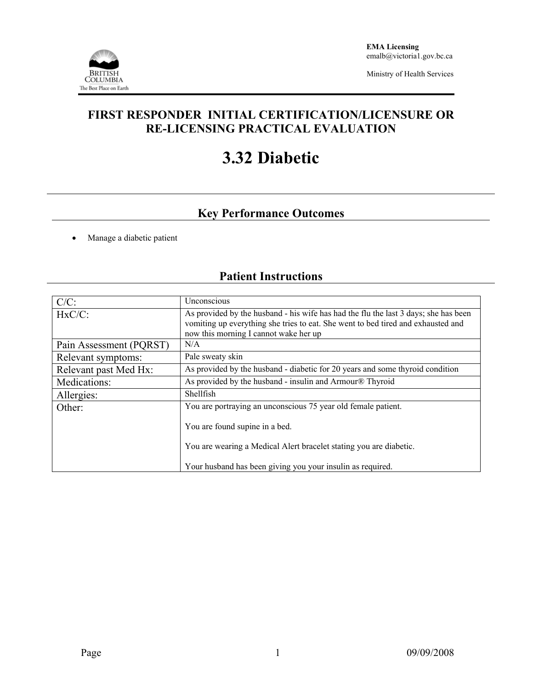

Ministry of Health Services

### **FIRST RESPONDER INITIAL CERTIFICATION/LICENSURE OR RE-LICENSING PRACTICAL EVALUATION**

# **3.32 Diabetic**

## **Key Performance Outcomes**

• Manage a diabetic patient

## **Patient Instructions**

| $C/C$ :                 | Unconscious                                                                                                                                                                                                      |  |  |  |
|-------------------------|------------------------------------------------------------------------------------------------------------------------------------------------------------------------------------------------------------------|--|--|--|
| $HxC/C$ :               | As provided by the husband - his wife has had the flu the last 3 days; she has been<br>vomiting up everything she tries to eat. She went to bed tired and exhausted and<br>now this morning I cannot wake her up |  |  |  |
| Pain Assessment (PQRST) | N/A                                                                                                                                                                                                              |  |  |  |
| Relevant symptoms:      | Pale sweaty skin                                                                                                                                                                                                 |  |  |  |
| Relevant past Med Hx:   | As provided by the husband - diabetic for 20 years and some thyroid condition                                                                                                                                    |  |  |  |
| Medications:            | As provided by the husband - insulin and Armour® Thyroid                                                                                                                                                         |  |  |  |
| Allergies:              | <b>Shellfish</b>                                                                                                                                                                                                 |  |  |  |
| Other:                  | You are portraying an unconscious 75 year old female patient.                                                                                                                                                    |  |  |  |
|                         | You are found supine in a bed.                                                                                                                                                                                   |  |  |  |
|                         | You are wearing a Medical Alert bracelet stating you are diabetic.                                                                                                                                               |  |  |  |
|                         | Your husband has been giving you your insulin as required.                                                                                                                                                       |  |  |  |